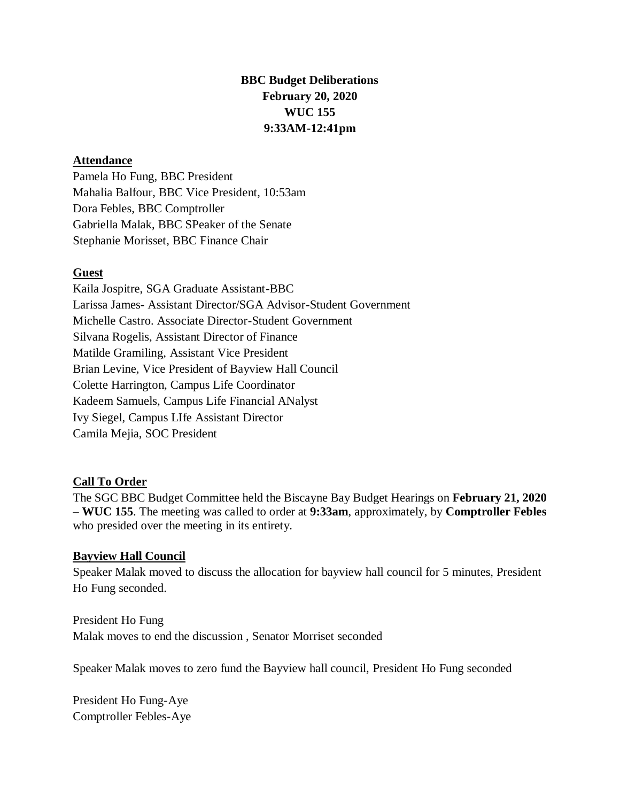# **BBC Budget Deliberations February 20, 2020 WUC 155 9:33AM-12:41pm**

### **Attendance**

Pamela Ho Fung, BBC President Mahalia Balfour, BBC Vice President, 10:53am Dora Febles, BBC Comptroller Gabriella Malak, BBC SPeaker of the Senate Stephanie Morisset, BBC Finance Chair

### **Guest**

Kaila Jospitre, SGA Graduate Assistant-BBC Larissa James- Assistant Director/SGA Advisor-Student Government Michelle Castro. Associate Director-Student Government Silvana Rogelis, Assistant Director of Finance Matilde Gramiling, Assistant Vice President Brian Levine, Vice President of Bayview Hall Council Colette Harrington, Campus Life Coordinator Kadeem Samuels, Campus Life Financial ANalyst Ivy Siegel, Campus LIfe Assistant Director Camila Mejia, SOC President

## **Call To Order**

The SGC BBC Budget Committee held the Biscayne Bay Budget Hearings on **February 21, 2020** – **WUC 155**. The meeting was called to order at **9:33am**, approximately, by **Comptroller Febles**  who presided over the meeting in its entirety.

#### **Bayview Hall Council**

Speaker Malak moved to discuss the allocation for bayview hall council for 5 minutes, President Ho Fung seconded.

President Ho Fung Malak moves to end the discussion , Senator Morriset seconded

Speaker Malak moves to zero fund the Bayview hall council, President Ho Fung seconded

President Ho Fung-Aye Comptroller Febles-Aye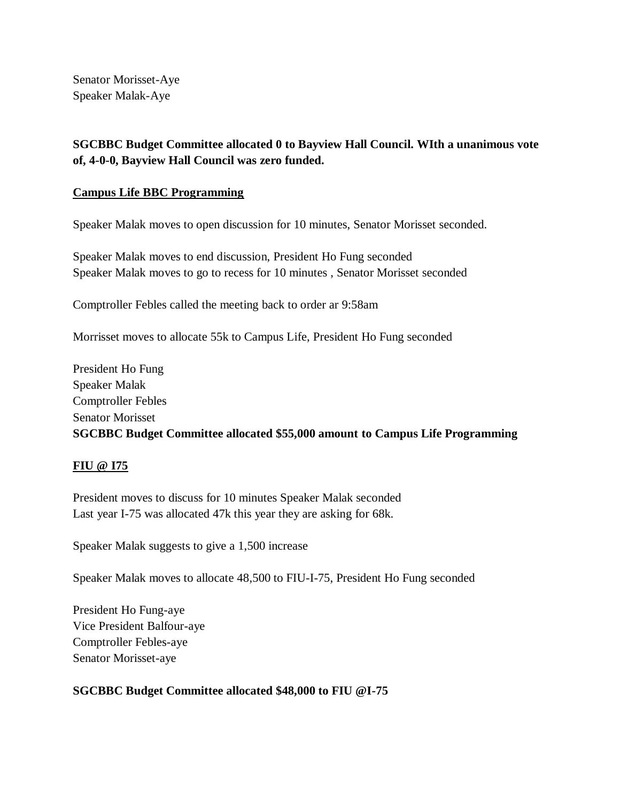Senator Morisset-Aye Speaker Malak-Aye

# **SGCBBC Budget Committee allocated 0 to Bayview Hall Council. WIth a unanimous vote of, 4-0-0, Bayview Hall Council was zero funded.**

### **Campus Life BBC Programming**

Speaker Malak moves to open discussion for 10 minutes, Senator Morisset seconded.

Speaker Malak moves to end discussion, President Ho Fung seconded Speaker Malak moves to go to recess for 10 minutes , Senator Morisset seconded

Comptroller Febles called the meeting back to order ar 9:58am

Morrisset moves to allocate 55k to Campus Life, President Ho Fung seconded

President Ho Fung Speaker Malak Comptroller Febles Senator Morisset **SGCBBC Budget Committee allocated \$55,000 amount to Campus Life Programming**

#### **FIU @ I75**

President moves to discuss for 10 minutes Speaker Malak seconded Last year I-75 was allocated 47k this year they are asking for 68k.

Speaker Malak suggests to give a 1,500 increase

Speaker Malak moves to allocate 48,500 to FIU-I-75, President Ho Fung seconded

President Ho Fung-aye Vice President Balfour-aye Comptroller Febles-aye Senator Morisset-aye

## **SGCBBC Budget Committee allocated \$48,000 to FIU @I-75**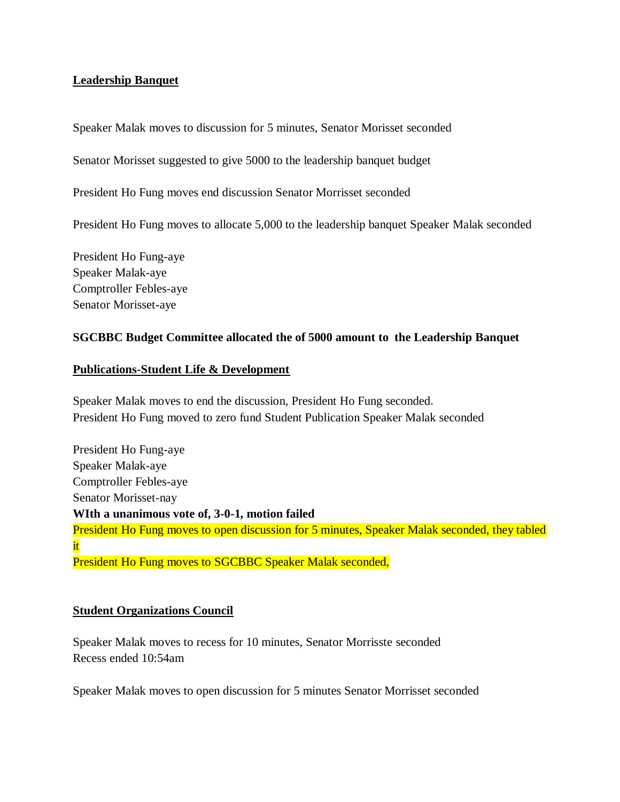### **Leadership Banquet**

Speaker Malak moves to discussion for 5 minutes, Senator Morisset seconded

Senator Morisset suggested to give 5000 to the leadership banquet budget

President Ho Fung moves end discussion Senator Morrisset seconded

President Ho Fung moves to allocate 5,000 to the leadership banquet Speaker Malak seconded

President Ho Fung-aye Speaker Malak-aye Comptroller Febles-aye Senator Morisset-aye

#### **SGCBBC Budget Committee allocated the of 5000 amount to the Leadership Banquet**

#### **Publications-Student Life & Development**

Speaker Malak moves to end the discussion, President Ho Fung seconded. President Ho Fung moved to zero fund Student Publication Speaker Malak seconded

President Ho Fung-aye Speaker Malak-aye Comptroller Febles-aye Senator Morisset-nay **WIth a unanimous vote of, 3-0-1, motion failed** President Ho Fung moves to open discussion for 5 minutes, Speaker Malak seconded, they tabled it President Ho Fung moves to SGCBBC Speaker Malak seconded,

#### **Student Organizations Council**

Speaker Malak moves to recess for 10 minutes, Senator Morrisste seconded Recess ended 10:54am

Speaker Malak moves to open discussion for 5 minutes Senator Morrisset seconded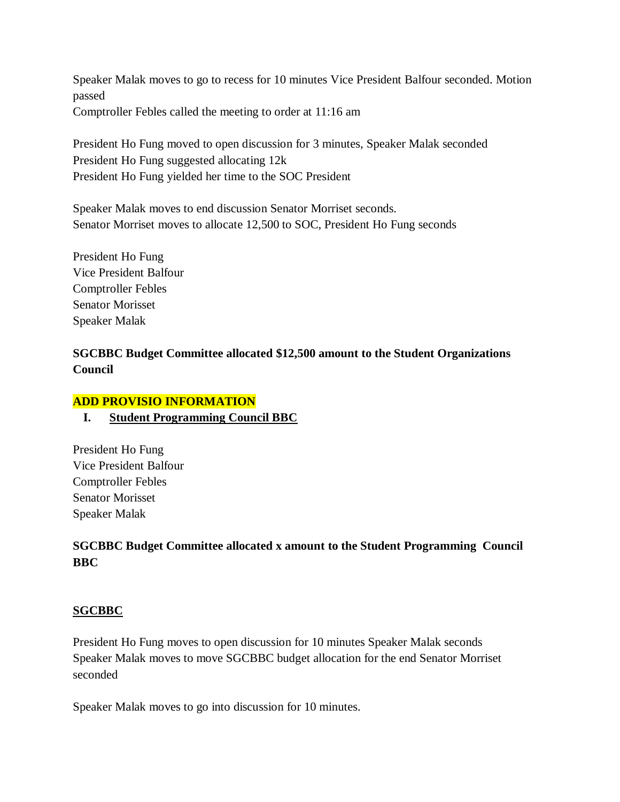Speaker Malak moves to go to recess for 10 minutes Vice President Balfour seconded. Motion passed Comptroller Febles called the meeting to order at 11:16 am

President Ho Fung moved to open discussion for 3 minutes, Speaker Malak seconded President Ho Fung suggested allocating 12k President Ho Fung yielded her time to the SOC President

Speaker Malak moves to end discussion Senator Morriset seconds. Senator Morriset moves to allocate 12,500 to SOC, President Ho Fung seconds

President Ho Fung Vice President Balfour Comptroller Febles Senator Morisset Speaker Malak

## **SGCBBC Budget Committee allocated \$12,500 amount to the Student Organizations Council**

## **ADD PROVISIO INFORMATION**

## **I. Student Programming Council BBC**

President Ho Fung Vice President Balfour Comptroller Febles Senator Morisset Speaker Malak

# **SGCBBC Budget Committee allocated x amount to the Student Programming Council BBC**

## **SGCBBC**

President Ho Fung moves to open discussion for 10 minutes Speaker Malak seconds Speaker Malak moves to move SGCBBC budget allocation for the end Senator Morriset seconded

Speaker Malak moves to go into discussion for 10 minutes.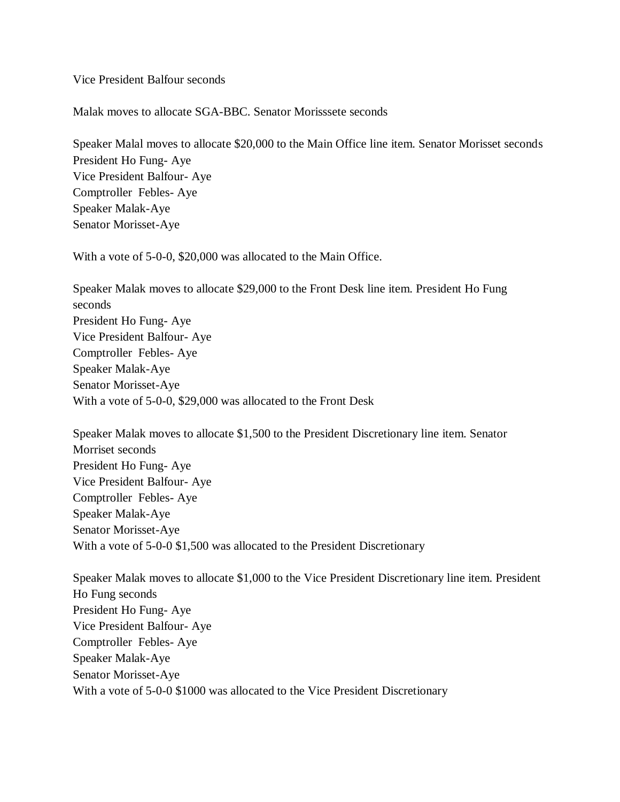Vice President Balfour seconds

Malak moves to allocate SGA-BBC. Senator Morisssete seconds

Speaker Malal moves to allocate \$20,000 to the Main Office line item. Senator Morisset seconds President Ho Fung- Aye Vice President Balfour- Aye Comptroller Febles- Aye Speaker Malak-Aye Senator Morisset-Aye

With a vote of 5-0-0, \$20,000 was allocated to the Main Office.

Speaker Malak moves to allocate \$29,000 to the Front Desk line item. President Ho Fung seconds President Ho Fung- Aye Vice President Balfour- Aye Comptroller Febles- Aye Speaker Malak-Aye Senator Morisset-Aye With a vote of 5-0-0, \$29,000 was allocated to the Front Desk

Speaker Malak moves to allocate \$1,500 to the President Discretionary line item. Senator Morriset seconds President Ho Fung- Aye Vice President Balfour- Aye Comptroller Febles- Aye Speaker Malak-Aye Senator Morisset-Aye With a vote of 5-0-0 \$1,500 was allocated to the President Discretionary

Speaker Malak moves to allocate \$1,000 to the Vice President Discretionary line item. President Ho Fung seconds President Ho Fung- Aye Vice President Balfour- Aye Comptroller Febles- Aye Speaker Malak-Aye Senator Morisset-Aye With a vote of 5-0-0 \$1000 was allocated to the Vice President Discretionary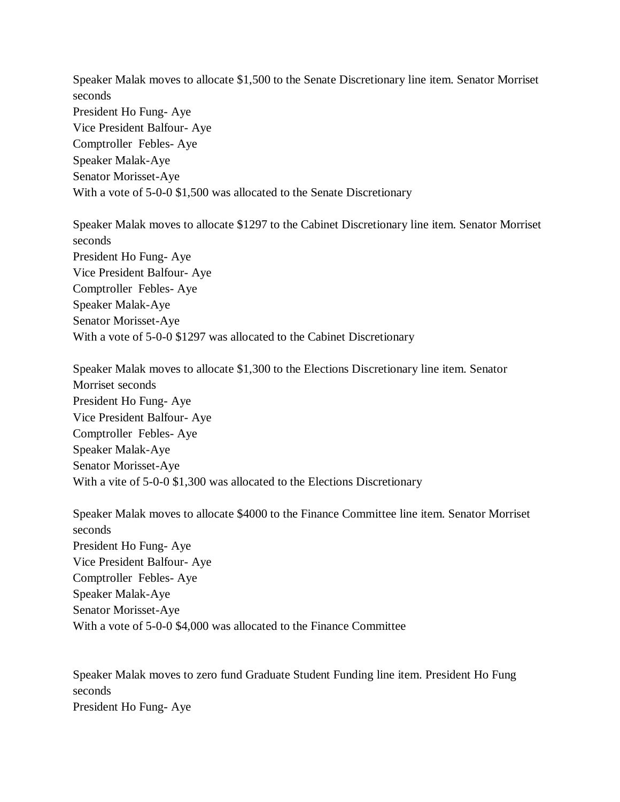Speaker Malak moves to allocate \$1,500 to the Senate Discretionary line item. Senator Morriset seconds President Ho Fung- Aye Vice President Balfour- Aye Comptroller Febles- Aye Speaker Malak-Aye Senator Morisset-Aye With a vote of 5-0-0 \$1,500 was allocated to the Senate Discretionary

Speaker Malak moves to allocate \$1297 to the Cabinet Discretionary line item. Senator Morriset seconds President Ho Fung- Aye Vice President Balfour- Aye Comptroller Febles- Aye Speaker Malak-Aye Senator Morisset-Aye With a vote of 5-0-0 \$1297 was allocated to the Cabinet Discretionary

Speaker Malak moves to allocate \$1,300 to the Elections Discretionary line item. Senator Morriset seconds President Ho Fung- Aye Vice President Balfour- Aye Comptroller Febles- Aye Speaker Malak-Aye Senator Morisset-Aye With a vite of 5-0-0 \$1,300 was allocated to the Elections Discretionary

Speaker Malak moves to allocate \$4000 to the Finance Committee line item. Senator Morriset seconds President Ho Fung- Aye Vice President Balfour- Aye Comptroller Febles- Aye Speaker Malak-Aye Senator Morisset-Aye With a vote of 5-0-0 \$4,000 was allocated to the Finance Committee

Speaker Malak moves to zero fund Graduate Student Funding line item. President Ho Fung seconds President Ho Fung- Aye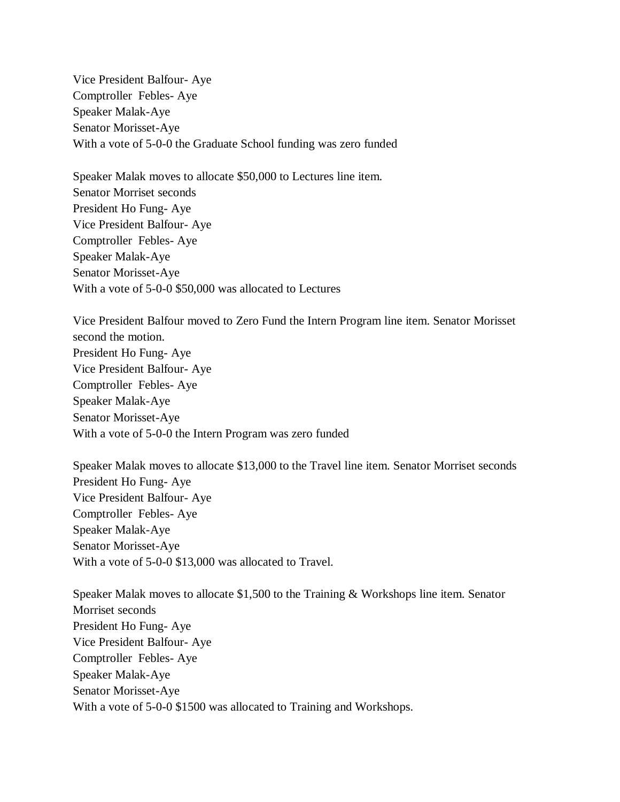Vice President Balfour- Aye Comptroller Febles- Aye Speaker Malak-Aye Senator Morisset-Aye With a vote of 5-0-0 the Graduate School funding was zero funded

Speaker Malak moves to allocate \$50,000 to Lectures line item. Senator Morriset seconds President Ho Fung- Aye Vice President Balfour- Aye Comptroller Febles- Aye Speaker Malak-Aye Senator Morisset-Aye With a vote of 5-0-0 \$50,000 was allocated to Lectures

Vice President Balfour moved to Zero Fund the Intern Program line item. Senator Morisset second the motion. President Ho Fung- Aye Vice President Balfour- Aye Comptroller Febles- Aye Speaker Malak-Aye Senator Morisset-Aye With a vote of 5-0-0 the Intern Program was zero funded

Speaker Malak moves to allocate \$13,000 to the Travel line item. Senator Morriset seconds President Ho Fung- Aye Vice President Balfour- Aye Comptroller Febles- Aye Speaker Malak-Aye Senator Morisset-Aye With a vote of 5-0-0 \$13,000 was allocated to Travel.

Speaker Malak moves to allocate \$1,500 to the Training & Workshops line item. Senator Morriset seconds President Ho Fung- Aye Vice President Balfour- Aye Comptroller Febles- Aye Speaker Malak-Aye Senator Morisset-Aye With a vote of 5-0-0 \$1500 was allocated to Training and Workshops.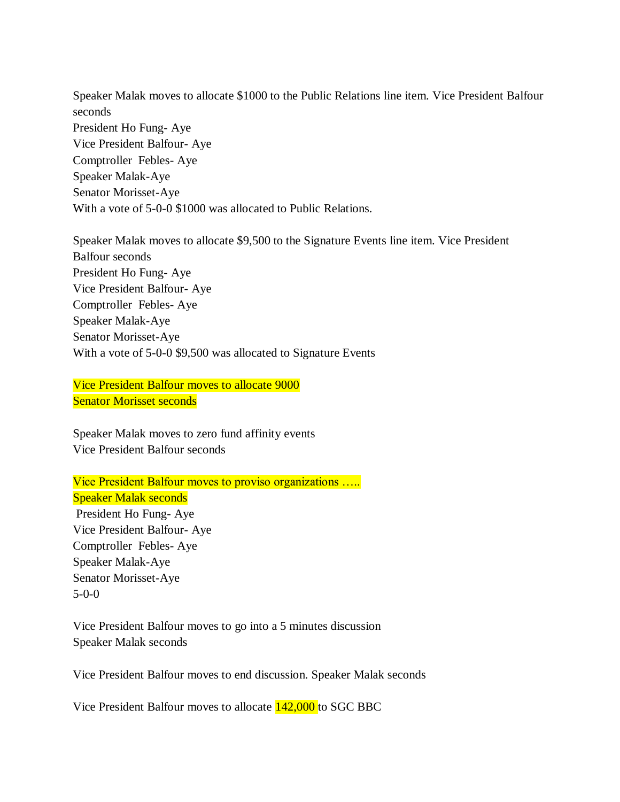Speaker Malak moves to allocate \$1000 to the Public Relations line item. Vice President Balfour seconds President Ho Fung- Aye Vice President Balfour- Aye Comptroller Febles- Aye Speaker Malak-Aye Senator Morisset-Aye With a vote of 5-0-0 \$1000 was allocated to Public Relations.

Speaker Malak moves to allocate \$9,500 to the Signature Events line item. Vice President Balfour seconds President Ho Fung- Aye Vice President Balfour- Aye Comptroller Febles- Aye Speaker Malak-Aye Senator Morisset-Aye With a vote of 5-0-0 \$9,500 was allocated to Signature Events

Vice President Balfour moves to allocate 9000 Senator Morisset seconds

Speaker Malak moves to zero fund affinity events Vice President Balfour seconds

Vice President Balfour moves to proviso organizations ….. Speaker Malak seconds President Ho Fung- Aye Vice President Balfour- Aye Comptroller Febles- Aye Speaker Malak-Aye Senator Morisset-Aye 5-0-0

Vice President Balfour moves to go into a 5 minutes discussion Speaker Malak seconds

Vice President Balfour moves to end discussion. Speaker Malak seconds

Vice President Balfour moves to allocate 142,000 to SGC BBC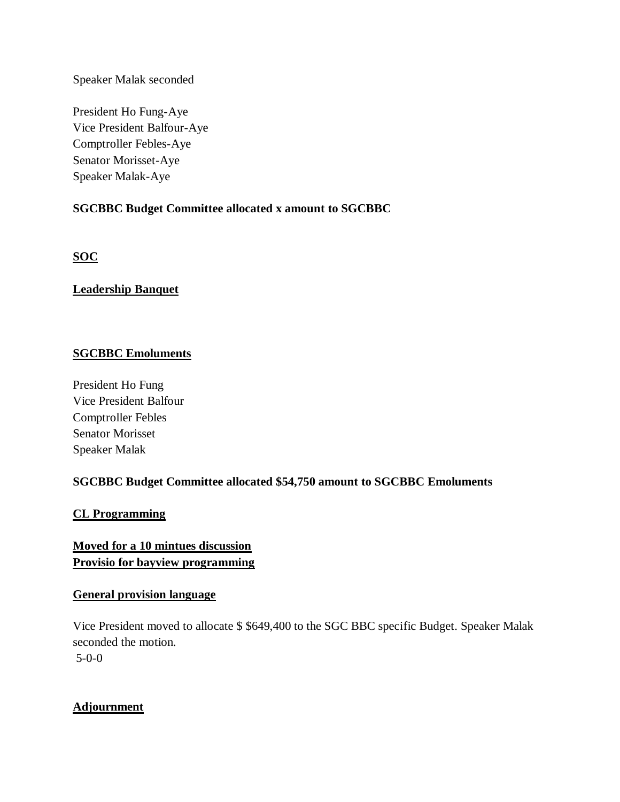Speaker Malak seconded

President Ho Fung-Aye Vice President Balfour-Aye Comptroller Febles-Aye Senator Morisset-Aye Speaker Malak-Aye

## **SGCBBC Budget Committee allocated x amount to SGCBBC**

**SOC** 

## **Leadership Banquet**

## **SGCBBC Emoluments**

President Ho Fung Vice President Balfour Comptroller Febles Senator Morisset Speaker Malak

## **SGCBBC Budget Committee allocated \$54,750 amount to SGCBBC Emoluments**

## **CL Programming**

## **Moved for a 10 mintues discussion Provisio for bayview programming**

## **General provision language**

Vice President moved to allocate \$ \$649,400 to the SGC BBC specific Budget. Speaker Malak seconded the motion. 5-0-0

## **Adjournment**